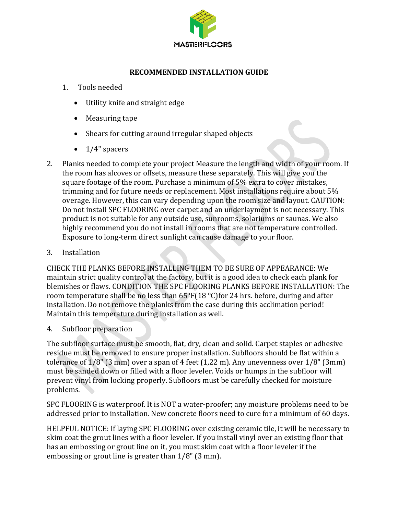

#### **RECOMMENDED INSTALLATION GUIDE**

- 1. Tools needed
	- Utility knife and straight edge
	- Measuring tape
	- Shears for cutting around irregular shaped objects
	- $\bullet$  1/4" spacers
- 2. Planks needed to complete your project Measure the length and width of your room. If the room has alcoves or offsets, measure these separately. This will give you the square footage of the room. Purchase a minimum of 5% extra to cover mistakes, trimming and for future needs or replacement. Most installations require about 5% overage. However, this can vary depending upon the room size and layout. CAUTION: Do not install SPC FLOORING over carpet and an underlayment is not necessary. This product is not suitable for any outside use, sunrooms, solariums or saunas. We also highly recommend you do not install in rooms that are not temperature controlled. Exposure to long-term direct sunlight can cause damage to your floor.
- 3. Installation

CHECK THE PLANKS BEFORE INSTALLING THEM TO BE SURE OF APPEARANCE: We maintain strict quality control at the factory, but it is a good idea to check each plank for blemishes or flaws. CONDITION THE SPC FLOORING PLANKS BEFORE INSTALLATION: The room temperature shall be no less than 65°F(18 °C)for 24 hrs. before, during and after installation. Do not remove the planks from the case during this acclimation period! Maintain this temperature during installation as well.

4. Subfloor preparation

The subfloor surface must be smooth, flat, dry, clean and solid. Carpet staples or adhesive residue must be removed to ensure proper installation. Subfloors should be flat within a tolerance of 1/8" (3 mm) over a span of 4 feet (1,22 m). Any unevenness over 1/8" (3mm) must be sanded down or filled with a floor leveler. Voids or humps in the subfloor will prevent vinyl from locking properly. Subfloors must be carefully checked for moisture problems.

SPC FLOORING is waterproof. It is NOT a water-proofer; any moisture problems need to be addressed prior to installation. New concrete floors need to cure for a minimum of 60 days.

HELPFUL NOTICE: If laying SPC FLOORING over existing ceramic tile, it will be necessary to skim coat the grout lines with a floor leveler. If you install vinyl over an existing floor that has an embossing or grout line on it, you must skim coat with a floor leveler if the embossing or grout line is greater than 1/8" (3 mm).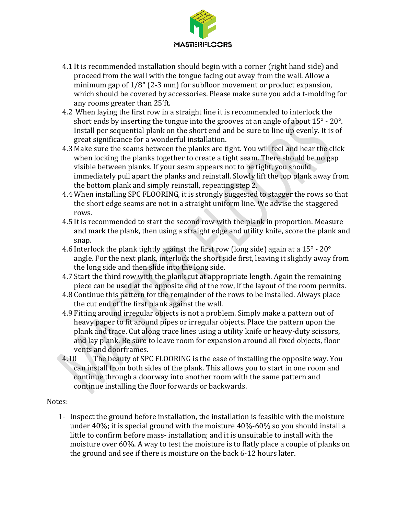

- 4.1 It is recommended installation should begin with a corner (right hand side) and proceed from the wall with the tongue facing out away from the wall. Allow a minimum gap of 1/8" (2-3 mm) for subfloor movement or product expansion, which should be covered by accessories. Please make sure you add a t-molding for any rooms greater than 25'ft.
- 4.2 When laying the first row in a straight line it is recommended to interlock the short ends by inserting the tongue into the grooves at an angle of about 15° - 20°. Install per sequential plank on the short end and be sure to line up evenly. It is of great significance for a wonderful installation.
- 4.3 Make sure the seams between the planks are tight. You will feel and hear the click when locking the planks together to create a tight seam. There should be no gap visible between planks. If your seam appears not to be tight, you should immediately pull apart the planks and reinstall. Slowly lift the top plank away from the bottom plank and simply reinstall, repeating step 2.
- 4.4 When installing SPC FLOORING, it is strongly suggested to stagger the rows so that the short edge seams are not in a straight uniform line. We advise the staggered rows.
- 4.5 It is recommended to start the second row with the plank in proportion. Measure and mark the plank, then using a straight edge and utility knife, score the plank and snap.
- 4.6 Interlock the plank tightly against the first row (long side) again at a  $15^{\circ}$   $20^{\circ}$ angle. For the next plank, interlock the short side first, leaving it slightly away from the long side and then slide into the long side.
- 4.7 Start the third row with the plank cut at appropriate length. Again the remaining piece can be used at the opposite end of the row, if the layout of the room permits.
- 4.8 Continue this pattern for the remainder of the rows to be installed. Always place the cut end of the first plank against the wall.
- 4.9 Fitting around irregular objects is not a problem. Simply make a pattern out of heavy paper to fit around pipes or irregular objects. Place the pattern upon the plank and trace. Cut along trace lines using a utility knife or heavy-duty scissors, and lay plank. Be sure to leave room for expansion around all fixed objects, floor vents and doorframes.
- 4.10 The beauty of SPC FLOORING is the ease of installing the opposite way. You can install from both sides of the plank. This allows you to start in one room and continue through a doorway into another room with the same pattern and continue installing the floor forwards or backwards.

# Notes:

1- Inspect the ground before installation, the installation is feasible with the moisture under 40%; it is special ground with the moisture 40%-60% so you should install a little to confirm before mass- installation; and it is unsuitable to install with the moisture over 60%. A way to test the moisture is to flatly place a couple of planks on the ground and see if there is moisture on the back 6-12 hours later.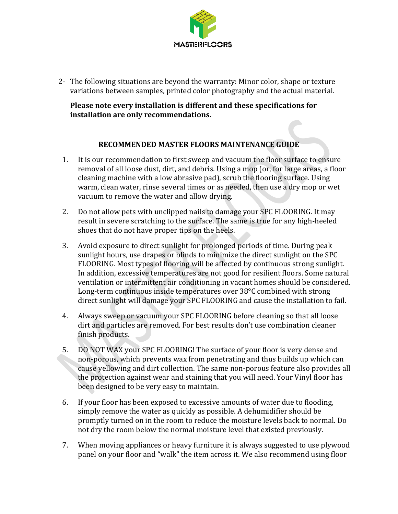

2- The following situations are beyond the warranty: Minor color, shape or texture variations between samples, printed color photography and the actual material.

### **Please note every installation is different and these specifications for installation are only recommendations.**

# **RECOMMENDED MASTER FLOORS MAINTENANCE GUIDE**

- 1. It is our recommendation to first sweep and vacuum the floor surface to ensure removal of all loose dust, dirt, and debris. Using a mop (or, for large areas, a floor cleaning machine with a low abrasive pad), scrub the flooring surface. Using warm, clean water, rinse several times or as needed, then use a dry mop or wet vacuum to remove the water and allow drying.
- 2. Do not allow pets with unclipped nails to damage your SPC FLOORING. It may result in severe scratching to the surface. The same is true for any high-heeled shoes that do not have proper tips on the heels.
- 3. Avoid exposure to direct sunlight for prolonged periods of time. During peak sunlight hours, use drapes or blinds to minimize the direct sunlight on the SPC FLOORING. Most types of flooring will be affected by continuous strong sunlight. In addition, excessive temperatures are not good for resilient floors. Some natural ventilation or intermittent air conditioning in vacant homes should be considered. Long-term continuous inside temperatures over 38°C combined with strong direct sunlight will damage your SPC FLOORING and cause the installation to fail.
- 4. Always sweep or vacuum your SPC FLOORING before cleaning so that all loose dirt and particles are removed. For best results don't use combination cleaner finish products.
- 5. DO NOT WAX your SPC FLOORING! The surface of your floor is very dense and non-porous, which prevents wax from penetrating and thus builds up which can cause yellowing and dirt collection. The same non-porous feature also provides all the protection against wear and staining that you will need. Your Vinyl floor has been designed to be very easy to maintain.
- 6. If your floor has been exposed to excessive amounts of water due to flooding, simply remove the water as quickly as possible. A dehumidifier should be promptly turned on in the room to reduce the moisture levels back to normal. Do not dry the room below the normal moisture level that existed previously.
- 7. When moving appliances or heavy furniture it is always suggested to use plywood panel on your floor and "walk" the item across it. We also recommend using floor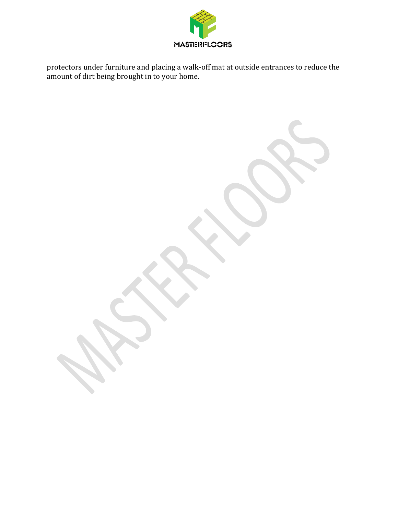

protectors under furniture and placing a walk-off mat at outside entrances to reduce the amount of dirt being brought in to your home.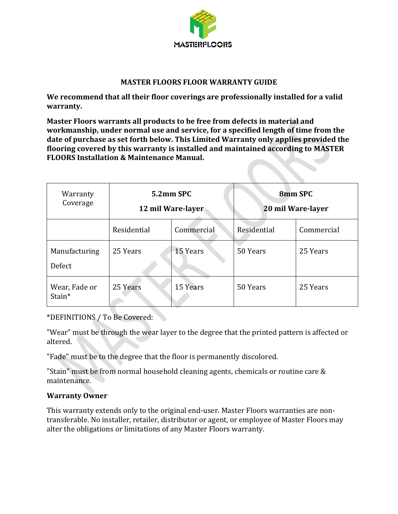

#### **MASTER FLOORS FLOOR WARRANTY GUIDE**

**We recommend that all their floor coverings are professionally installed for a valid warranty.**

**Master Floors warrants all products to be free from defects in material and workmanship, under normal use and service, for a specified length of time from the date of purchase as set forth below. This Limited Warranty only applies provided the flooring covered by this warranty is installed and maintained according to MASTER FLOORS Installation & Maintenance Manual.**

| Warranty<br>Coverage    | 5.2mm SPC<br>12 mil Ware-layer |            | 8mm SPC<br>20 mil Ware-layer |            |
|-------------------------|--------------------------------|------------|------------------------------|------------|
|                         | Residential                    | Commercial | Residential                  | Commercial |
| Manufacturing<br>Defect | 25 Years                       | 15 Years   | 50 Years                     | 25 Years   |
| Wear, Fade or<br>Stain* | 25 Years                       | 15 Years   | 50 Years                     | 25 Years   |

\*DEFINITIONS / To Be Covered:

"Wear" must be through the wear layer to the degree that the printed pattern is affected or altered.

"Fade" must be to the degree that the floor is permanently discolored.

"Stain" must be from normal household cleaning agents, chemicals or routine care & maintenance.

#### **Warranty Owner**

This warranty extends only to the original end-user. Master Floors warranties are nontransferable. No installer, retailer, distributor or agent, or employee of Master Floors may alter the obligations or limitations of any Master Floors warranty.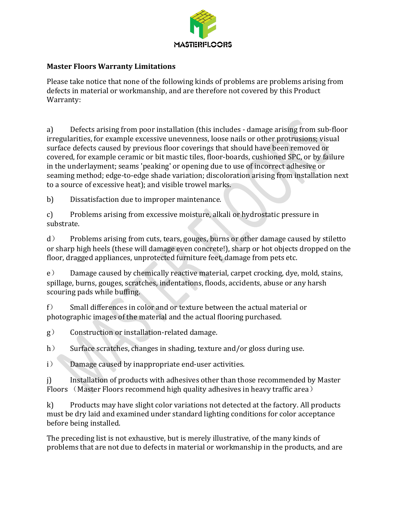

### **Master Floors Warranty Limitations**

Please take notice that none of the following kinds of problems are problems arising from defects in material or workmanship, and are therefore not covered by this Product Warranty:

a) Defects arising from poor installation (this includes - damage arising from sub-floor irregularities, for example excessive unevenness, loose nails or other protrusions; visual surface defects caused by previous floor coverings that should have been removed or covered, for example ceramic or bit mastic tiles, floor-boards, cushioned SPC, or by failure in the underlayment; seams 'peaking' or opening due to use of incorrect adhesive or seaming method; edge-to-edge shade variation; discoloration arising from installation next to a source of excessive heat); and visible trowel marks.

b) Dissatisfaction due to improper maintenance.

c) Problems arising from excessive moisture, alkali or hydrostatic pressure in substrate.

d) Problems arising from cuts, tears, gouges, burns or other damage caused by stiletto or sharp high heels (these will damage even concrete!), sharp or hot objects dropped on the floor, dragged appliances, unprotected furniture feet, damage from pets etc.

e) Damage caused by chemically reactive material, carpet crocking, dye, mold, stains, spillage, burns, gouges, scratches, indentations, floods, accidents, abuse or any harsh scouring pads while buffing.

f) Small differences in color and or texture between the actual material or photographic images of the material and the actual flooring purchased.

g) Construction or installation-related damage.

h) Surface scratches, changes in shading, texture and/or gloss during use.

i) Damage caused by inappropriate end-user activities.

j) Installation of products with adhesives other than those recommended by Master Floors (Master Floors recommend high quality adhesives in heavy traffic area)

k) Products may have slight color variations not detected at the factory. All products must be dry laid and examined under standard lighting conditions for color acceptance before being installed.

The preceding list is not exhaustive, but is merely illustrative, of the many kinds of problems that are not due to defects in material or workmanship in the products, and are